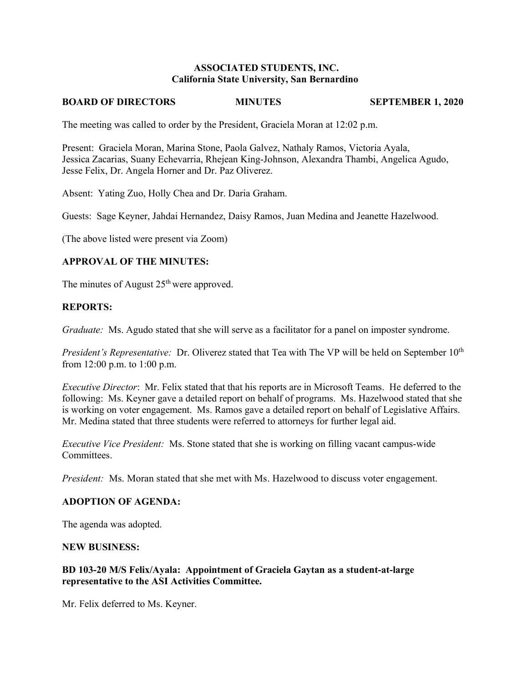### **ASSOCIATED STUDENTS, INC. California State University, San Bernardino**

#### **BOARD OF DIRECTORS MINUTES SEPTEMBER 1, 2020**

The meeting was called to order by the President, Graciela Moran at 12:02 p.m.

Present: Graciela Moran, Marina Stone, Paola Galvez, Nathaly Ramos, Victoria Ayala, Jessica Zacarias, Suany Echevarria, Rhejean King-Johnson, Alexandra Thambi, Angelica Agudo, Jesse Felix, Dr. Angela Horner and Dr. Paz Oliverez.

Absent: Yating Zuo, Holly Chea and Dr. Daria Graham.

Guests: Sage Keyner, Jahdai Hernandez, Daisy Ramos, Juan Medina and Jeanette Hazelwood.

(The above listed were present via Zoom)

### **APPROVAL OF THE MINUTES:**

The minutes of August  $25<sup>th</sup>$  were approved.

### **REPORTS:**

*Graduate:* Ms. Agudo stated that she will serve as a facilitator for a panel on imposter syndrome.

*President's Representative:* Dr. Oliverez stated that Tea with The VP will be held on September 10<sup>th</sup> from 12:00 p.m. to 1:00 p.m.

*Executive Director*: Mr. Felix stated that that his reports are in Microsoft Teams. He deferred to the following: Ms. Keyner gave a detailed report on behalf of programs. Ms. Hazelwood stated that she is working on voter engagement. Ms. Ramos gave a detailed report on behalf of Legislative Affairs. Mr. Medina stated that three students were referred to attorneys for further legal aid.

*Executive Vice President:* Ms. Stone stated that she is working on filling vacant campus-wide Committees.

*President:* Ms. Moran stated that she met with Ms. Hazelwood to discuss voter engagement.

#### **ADOPTION OF AGENDA:**

The agenda was adopted.

#### **NEW BUSINESS:**

# **BD 103-20 M/S Felix/Ayala: Appointment of Graciela Gaytan as a student-at-large representative to the ASI Activities Committee.**

Mr. Felix deferred to Ms. Keyner.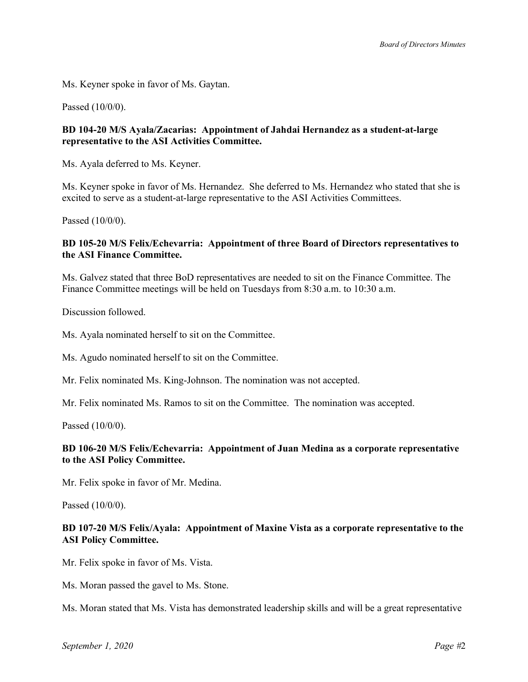Ms. Keyner spoke in favor of Ms. Gaytan.

Passed (10/0/0).

### **BD 104-20 M/S Ayala/Zacarias: Appointment of Jahdai Hernandez as a student-at-large representative to the ASI Activities Committee.**

Ms. Ayala deferred to Ms. Keyner.

Ms. Keyner spoke in favor of Ms. Hernandez. She deferred to Ms. Hernandez who stated that she is excited to serve as a student-at-large representative to the ASI Activities Committees.

Passed (10/0/0).

### **BD 105-20 M/S Felix/Echevarria: Appointment of three Board of Directors representatives to the ASI Finance Committee.**

Ms. Galvez stated that three BoD representatives are needed to sit on the Finance Committee. The Finance Committee meetings will be held on Tuesdays from 8:30 a.m. to 10:30 a.m.

Discussion followed.

Ms. Ayala nominated herself to sit on the Committee.

Ms. Agudo nominated herself to sit on the Committee.

Mr. Felix nominated Ms. King-Johnson. The nomination was not accepted.

Mr. Felix nominated Ms. Ramos to sit on the Committee. The nomination was accepted.

Passed (10/0/0).

### **BD 106-20 M/S Felix/Echevarria: Appointment of Juan Medina as a corporate representative to the ASI Policy Committee.**

Mr. Felix spoke in favor of Mr. Medina.

Passed (10/0/0).

# **BD 107-20 M/S Felix/Ayala: Appointment of Maxine Vista as a corporate representative to the ASI Policy Committee.**

Mr. Felix spoke in favor of Ms. Vista.

Ms. Moran passed the gavel to Ms. Stone.

Ms. Moran stated that Ms. Vista has demonstrated leadership skills and will be a great representative